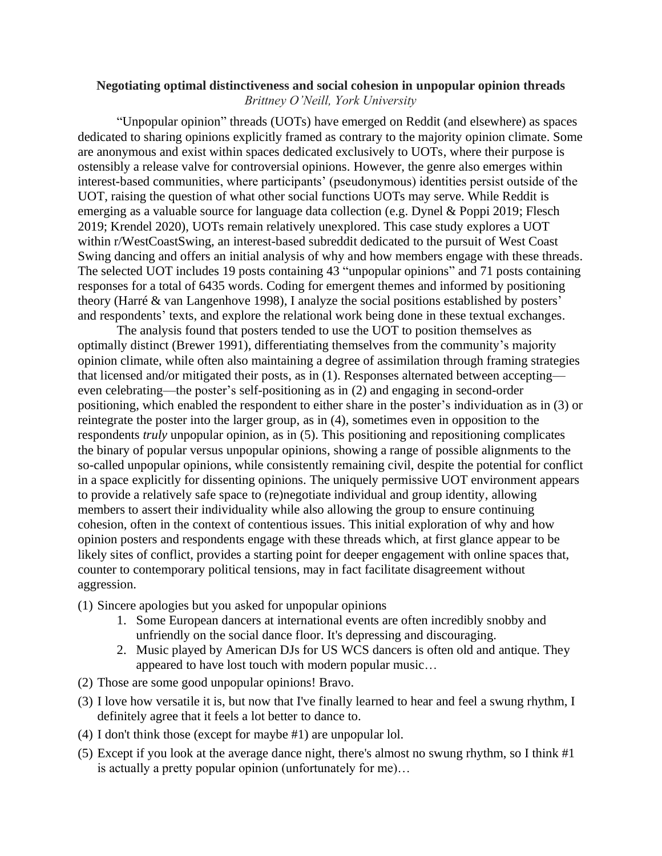## **Negotiating optimal distinctiveness and social cohesion in unpopular opinion threads** *Brittney O'Neill, York University*

"Unpopular opinion" threads (UOTs) have emerged on Reddit (and elsewhere) as spaces dedicated to sharing opinions explicitly framed as contrary to the majority opinion climate. Some are anonymous and exist within spaces dedicated exclusively to UOTs, where their purpose is ostensibly a release valve for controversial opinions. However, the genre also emerges within interest-based communities, where participants' (pseudonymous) identities persist outside of the UOT, raising the question of what other social functions UOTs may serve. While Reddit is emerging as a valuable source for language data collection (e.g. Dynel & Poppi 2019; Flesch 2019; Krendel 2020), UOTs remain relatively unexplored. This case study explores a UOT within r/WestCoastSwing, an interest-based subreddit dedicated to the pursuit of West Coast Swing dancing and offers an initial analysis of why and how members engage with these threads. The selected UOT includes 19 posts containing 43 "unpopular opinions" and 71 posts containing responses for a total of 6435 words. Coding for emergent themes and informed by positioning theory (Harré & van Langenhove 1998), I analyze the social positions established by posters' and respondents' texts, and explore the relational work being done in these textual exchanges.

The analysis found that posters tended to use the UOT to position themselves as optimally distinct (Brewer 1991), differentiating themselves from the community's majority opinion climate, while often also maintaining a degree of assimilation through framing strategies that licensed and/or mitigated their posts, as in (1). Responses alternated between accepting even celebrating—the poster's self-positioning as in (2) and engaging in second-order positioning, which enabled the respondent to either share in the poster's individuation as in (3) or reintegrate the poster into the larger group, as in (4), sometimes even in opposition to the respondents *truly* unpopular opinion, as in (5). This positioning and repositioning complicates the binary of popular versus unpopular opinions, showing a range of possible alignments to the so-called unpopular opinions, while consistently remaining civil, despite the potential for conflict in a space explicitly for dissenting opinions. The uniquely permissive UOT environment appears to provide a relatively safe space to (re)negotiate individual and group identity, allowing members to assert their individuality while also allowing the group to ensure continuing cohesion, often in the context of contentious issues. This initial exploration of why and how opinion posters and respondents engage with these threads which, at first glance appear to be likely sites of conflict, provides a starting point for deeper engagement with online spaces that, counter to contemporary political tensions, may in fact facilitate disagreement without aggression.

- (1) Sincere apologies but you asked for unpopular opinions
	- 1. Some European dancers at international events are often incredibly snobby and unfriendly on the social dance floor. It's depressing and discouraging.
	- 2. Music played by American DJs for US WCS dancers is often old and antique. They appeared to have lost touch with modern popular music…
- (2) Those are some good unpopular opinions! Bravo.
- (3) I love how versatile it is, but now that I've finally learned to hear and feel a swung rhythm, I definitely agree that it feels a lot better to dance to.
- (4) I don't think those (except for maybe #1) are unpopular lol.
- (5) Except if you look at the average dance night, there's almost no swung rhythm, so I think #1 is actually a pretty popular opinion (unfortunately for me)…